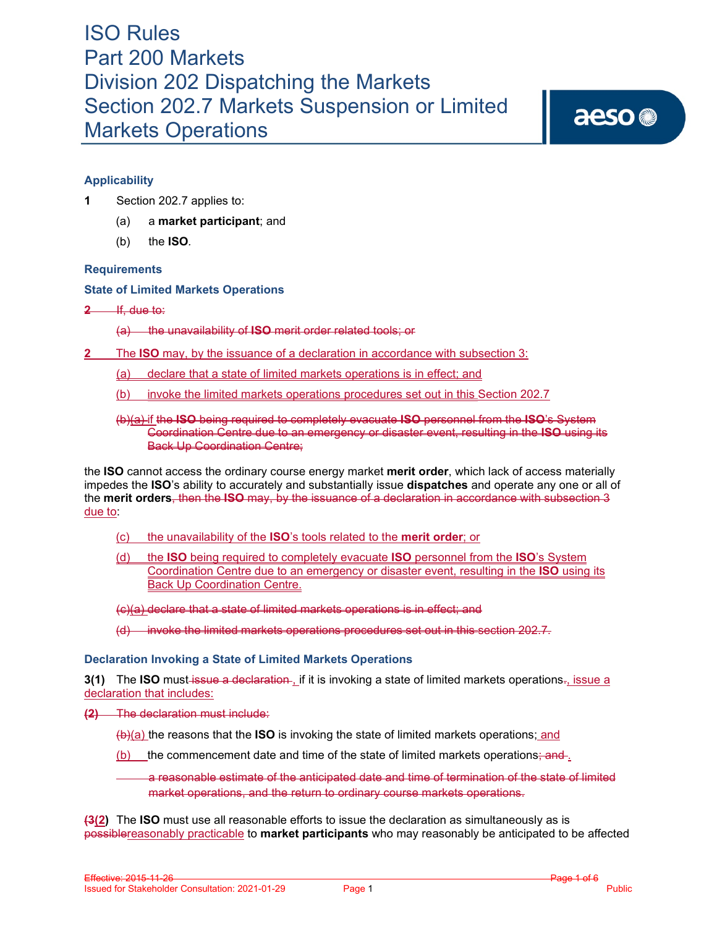aeso<sup>®</sup>

# **Applicability**

- **1** Section 202.7 applies to:
	- (a) a **market participant**; and
	- (b) the **ISO***.*

## **Requirements**

**State of Limited Markets Operations**

**2** If, due to:

(a) the unavailability of **ISO** merit order related tools; or

- **2** The **ISO** may, by the issuance of a declaration in accordance with subsection 3:
	- (a) declare that a state of limited markets operations is in effect; and
	- (b) invoke the limited markets operations procedures set out in this Section 202.7

## (b)(a) if the **ISO** being required to completely evacuate **ISO** personnel from the **ISO**'s System Coordination Centre due to an emergency or disaster event, resulting in the **ISO** using its Back Up Coordination Centre;

the **ISO** cannot access the ordinary course energy market **merit order**, which lack of access materially impedes the **ISO**'s ability to accurately and substantially issue **dispatches** and operate any one or all of the **merit orders**, then the **ISO** may, by the issuance of a declaration in accordance with subsection 3 due to:

- (c) the unavailability of the **ISO**'s tools related to the **merit order**; or
- (d) the **ISO** being required to completely evacuate **ISO** personnel from the **ISO**'s System Coordination Centre due to an emergency or disaster event, resulting in the **ISO** using its Back Up Coordination Centre.

(c)(a) declare that a state of limited markets operations is in effect; and

(d) invoke the limited markets operations procedures set out in this section 202.7.

## **Declaration Invoking a State of Limited Markets Operations**

**3(1)** The **ISO** must-issue a declaration-, if it is invoking a state of limited markets operations-, issue a declaration that includes:

**(2)** The declaration must include:

(b)(a) the reasons that the **ISO** is invoking the state of limited markets operations; and

(b) the commencement date and time of the state of limited markets operations; and ...

a reasonable estimate of the anticipated date and time of termination of the state of limited market operations, and the return to ordinary course markets operations.

**(3(2)** The **ISO** must use all reasonable efforts to issue the declaration as simultaneously as is possiblereasonably practicable to **market participants** who may reasonably be anticipated to be affected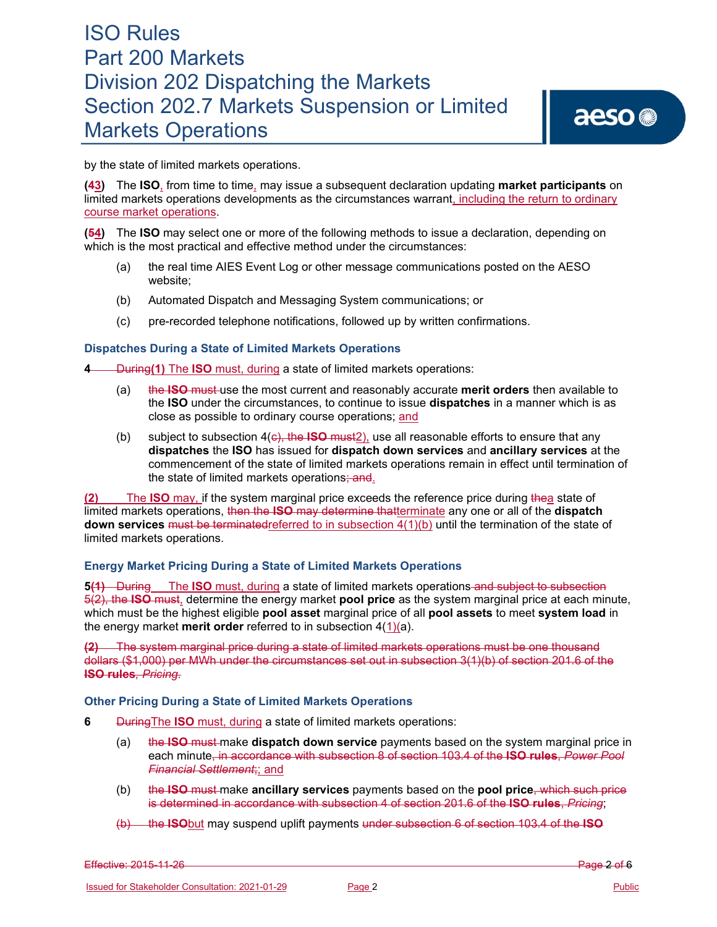by the state of limited markets operations.

**(43)** The **ISO**, from time to time, may issue a subsequent declaration updating **market participants** on limited markets operations developments as the circumstances warrant, including the return to ordinary course market operations.

**(54)** The **ISO** may select one or more of the following methods to issue a declaration, depending on which is the most practical and effective method under the circumstances:

- (a) the real time AIES Event Log or other message communications posted on the AESO website;
- (b) Automated Dispatch and Messaging System communications; or
- (c) pre-recorded telephone notifications, followed up by written confirmations.

#### **Dispatches During a State of Limited Markets Operations**

**4** During(1) The **ISO** must, during a state of limited markets operations:

- (a) the **ISO** must use the most current and reasonably accurate **merit orders** then available to the **ISO** under the circumstances, to continue to issue **dispatches** in a manner which is as close as possible to ordinary course operations; and
- (b) subject to subsection 4(c), the **ISO** must2), use all reasonable efforts to ensure that any **dispatches** the **ISO** has issued for **dispatch down services** and **ancillary services** at the commencement of the state of limited markets operations remain in effect until termination of the state of limited markets operations; and.

**(2)** The **ISO** may, if the system marginal price exceeds the reference price during thea state of limited markets operations, then the **ISO** may determine thatterminate any one or all of the **dispatch down services** must be terminatedreferred to in subsection 4(1)(b) until the termination of the state of limited markets operations.

## **Energy Market Pricing During a State of Limited Markets Operations**

**5(1)** During The **ISO** must, during a state of limited markets operations and subject to subsection 5(2), the **ISO** must, determine the energy market **pool price** as the system marginal price at each minute, which must be the highest eligible **pool asset** marginal price of all **pool assets** to meet **system load** in the energy market **merit order** referred to in subsection 4(1)(a).

**(2)** The system marginal price during a state of limited markets operations must be one thousand dollars (\$1,000) per MWh under the circumstances set out in subsection 3(1)(b) of section 201.6 of the **ISO rules***, Pricing*.

#### **Other Pricing During a State of Limited Markets Operations**

- **6** DuringThe **ISO** must, during a state of limited markets operations:
	- (a) the **ISO** must make **dispatch down service** payments based on the system marginal price in each minute, in accordance with subsection 8 of section 103.4 of the **ISO rules**, *Power Pool Financial Settlement*;; and
	- (b) the **ISO** must make **ancillary services** payments based on the **pool price**, which such price is determined in accordance with subsection 4 of section 201.6 of the **ISO rules**, *Pricing*;
	- (b) the **ISO**but may suspend uplift payments under subsection 6 of section 103.4 of the **ISO**

Effective: 2015-11-26 Page 2 of 6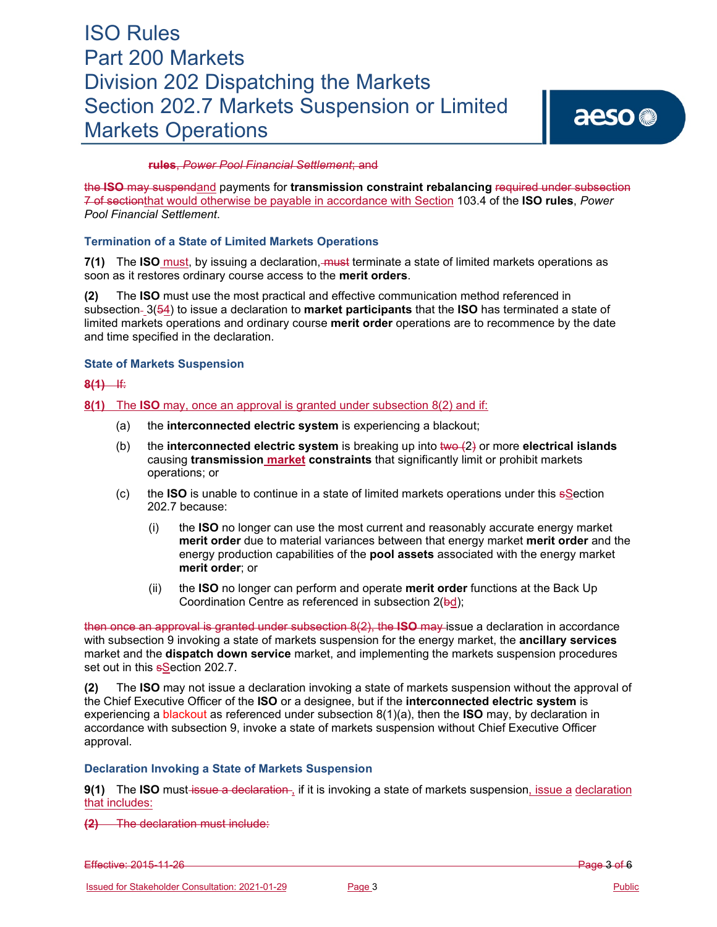aeso<sup>®</sup>

#### **rules**, *Power Pool Financial Settlement*; and

the **ISO** may suspendand payments for **transmission constraint rebalancing** required under subsection 7 of sectionthat would otherwise be payable in accordance with Section 103.4 of the **ISO rules**, *Power Pool Financial Settlement*.

#### **Termination of a State of Limited Markets Operations**

**7(1)** The **ISO** must, by issuing a declaration, must terminate a state of limited markets operations as soon as it restores ordinary course access to the **merit orders**.

**(2)** The **ISO** must use the most practical and effective communication method referenced in subsection 3(54) to issue a declaration to **market participants** that the **ISO** has terminated a state of limited markets operations and ordinary course **merit order** operations are to recommence by the date and time specified in the declaration.

#### **State of Markets Suspension**

#### **8(1)** If:

#### **8(1)** The **ISO** may, once an approval is granted under subsection 8(2) and if:

- (a) the **interconnected electric system** is experiencing a blackout;
- (b) the **interconnected electric system** is breaking up into two (2) or more **electrical islands** causing **transmission market constraints** that significantly limit or prohibit markets operations; or
- (c) the **ISO** is unable to continue in a state of limited markets operations under this sSection 202.7 because:
	- (i) the **ISO** no longer can use the most current and reasonably accurate energy market **merit order** due to material variances between that energy market **merit order** and the energy production capabilities of the **pool assets** associated with the energy market **merit order**; or
	- (ii) the **ISO** no longer can perform and operate **merit order** functions at the Back Up Coordination Centre as referenced in subsection 2(bd);

then once an approval is granted under subsection 8(2), the **ISO** may issue a declaration in accordance with subsection 9 invoking a state of markets suspension for the energy market, the **ancillary services** market and the **dispatch down service** market, and implementing the markets suspension procedures set out in this sSection 202.7.

**(2)** The **ISO** may not issue a declaration invoking a state of markets suspension without the approval of the Chief Executive Officer of the **ISO** or a designee, but if the **interconnected electric system** is experiencing a blackout as referenced under subsection 8(1)(a), then the **ISO** may, by declaration in accordance with subsection 9, invoke a state of markets suspension without Chief Executive Officer approval.

#### **Declaration Invoking a State of Markets Suspension**

**9(1)** The **ISO** must issue a declaration, if it is invoking a state of markets suspension, issue a declaration that includes:

**(2)** The declaration must include:

Effective: 2015-11-26 Page 3 of 6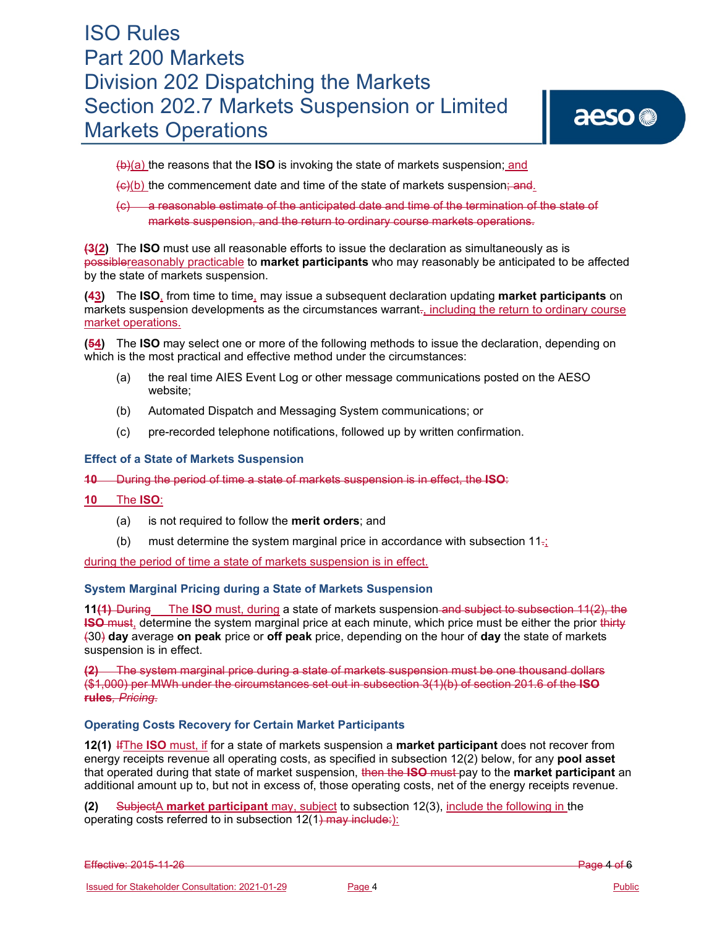# aeso<sup>®</sup>

(b)(a) the reasons that the **ISO** is invoking the state of markets suspension; and

 $\left\langle \Theta_{0}(b)\right\rangle$  the commencement date and time of the state of markets suspension; and.

(c) a reasonable estimate of the anticipated date and time of the termination of the state of markets suspension, and the return to ordinary course markets operations.

**(3(2)** The **ISO** must use all reasonable efforts to issue the declaration as simultaneously as is possiblereasonably practicable to **market participants** who may reasonably be anticipated to be affected by the state of markets suspension.

**(43)** The **ISO**, from time to time, may issue a subsequent declaration updating **market participants** on markets suspension developments as the circumstances warrant<sub>"</sub>, including the return to ordinary course market operations.

**(54)** The **ISO** may select one or more of the following methods to issue the declaration, depending on which is the most practical and effective method under the circumstances:

- (a) the real time AIES Event Log or other message communications posted on the AESO website;
- (b) Automated Dispatch and Messaging System communications; or
- (c) pre-recorded telephone notifications, followed up by written confirmation.

### **Effect of a State of Markets Suspension**

**10** During the period of time a state of markets suspension is in effect, the **ISO**:

- **10** The **ISO**:
	- (a) is not required to follow the **merit orders**; and
	- (b) must determine the system marginal price in accordance with subsection  $11_{\overline{1}}$

during the period of time a state of markets suspension is in effect.

## **System Marginal Pricing during a State of Markets Suspension**

**11(1)** During The **ISO** must, during a state of markets suspension and subject to subsection 11(2), the **ISO** must, determine the system marginal price at each minute, which price must be either the prior thirty (30) **day** average **on peak** price or **off peak** price, depending on the hour of **day** the state of markets suspension is in effect.

**(2)** The system marginal price during a state of markets suspension must be one thousand dollars (\$1,000) per MWh under the circumstances set out in subsection 3(1)(b) of section 201.6 of the **ISO rules***, Pricing*.

#### **Operating Costs Recovery for Certain Market Participants**

**12(1)** IfThe **ISO** must, if for a state of markets suspension a **market participant** does not recover from energy receipts revenue all operating costs, as specified in subsection 12(2) below, for any **pool asset** that operated during that state of market suspension, then the **ISO** must pay to the **market participant** an additional amount up to, but not in excess of, those operating costs, net of the energy receipts revenue.

**(2)** SubjectA **market participant** may, subject to subsection 12(3), include the following in the operating costs referred to in subsection 12(1) may include:):

Effective: 2015-11-26 Page 4 of 6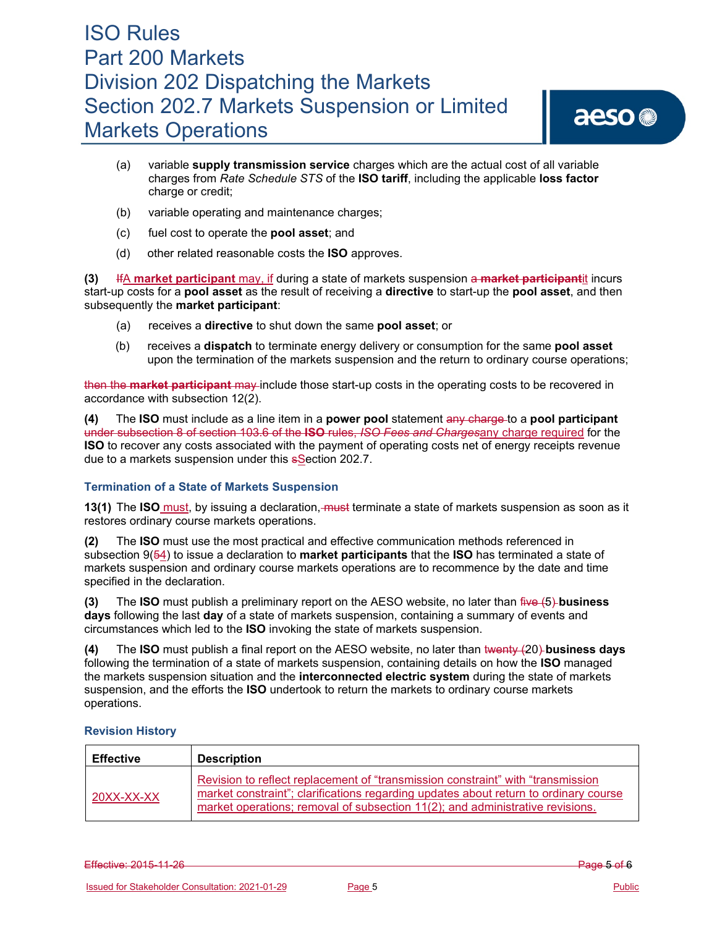# aeso<sup>®</sup>

- (a) variable **supply transmission service** charges which are the actual cost of all variable charges from *Rate Schedule STS* of the **ISO tariff**, including the applicable **loss factor** charge or credit;
- (b) variable operating and maintenance charges;
- (c) fuel cost to operate the **pool asset**; and
- (d) other related reasonable costs the **ISO** approves.

**(3)** IfA **market participant** may, if during a state of markets suspension a **market participant**it incurs start-up costs for a **pool asset** as the result of receiving a **directive** to start-up the **pool asset**, and then subsequently the **market participant**:

- (a) receives a **directive** to shut down the same **pool asset**; or
- (b) receives a **dispatch** to terminate energy delivery or consumption for the same **pool asset** upon the termination of the markets suspension and the return to ordinary course operations;

then the **market participant** may include those start-up costs in the operating costs to be recovered in accordance with subsection 12(2).

**(4)** The **ISO** must include as a line item in a **power pool** statement any charge to a **pool participant** under subsection 8 of section 103.6 of the **ISO** rules, *ISO Fees and Charges*any charge required for the **ISO** to recover any costs associated with the payment of operating costs net of energy receipts revenue due to a markets suspension under this sSection 202.7.

## **Termination of a State of Markets Suspension**

**13(1)** The **ISO** must, by issuing a declaration, must terminate a state of markets suspension as soon as it restores ordinary course markets operations.

**(2)** The **ISO** must use the most practical and effective communication methods referenced in subsection 9(54) to issue a declaration to **market participants** that the **ISO** has terminated a state of markets suspension and ordinary course markets operations are to recommence by the date and time specified in the declaration.

**(3)** The **ISO** must publish a preliminary report on the AESO website, no later than five (5) **business days** following the last **day** of a state of markets suspension, containing a summary of events and circumstances which led to the **ISO** invoking the state of markets suspension.

**(4)** The **ISO** must publish a final report on the AESO website, no later than twenty (20) **business days** following the termination of a state of markets suspension, containing details on how the **ISO** managed the markets suspension situation and the **interconnected electric system** during the state of markets suspension, and the efforts the **ISO** undertook to return the markets to ordinary course markets operations.

## **Revision History**

| <b>Effective</b> | <b>Description</b>                                                                                                                                                                                                                                        |
|------------------|-----------------------------------------------------------------------------------------------------------------------------------------------------------------------------------------------------------------------------------------------------------|
| 20XX-XX-XX       | Revision to reflect replacement of "transmission constraint" with "transmission"<br>market constraint"; clarifications regarding updates about return to ordinary course<br>market operations; removal of subsection 11(2); and administrative revisions. |